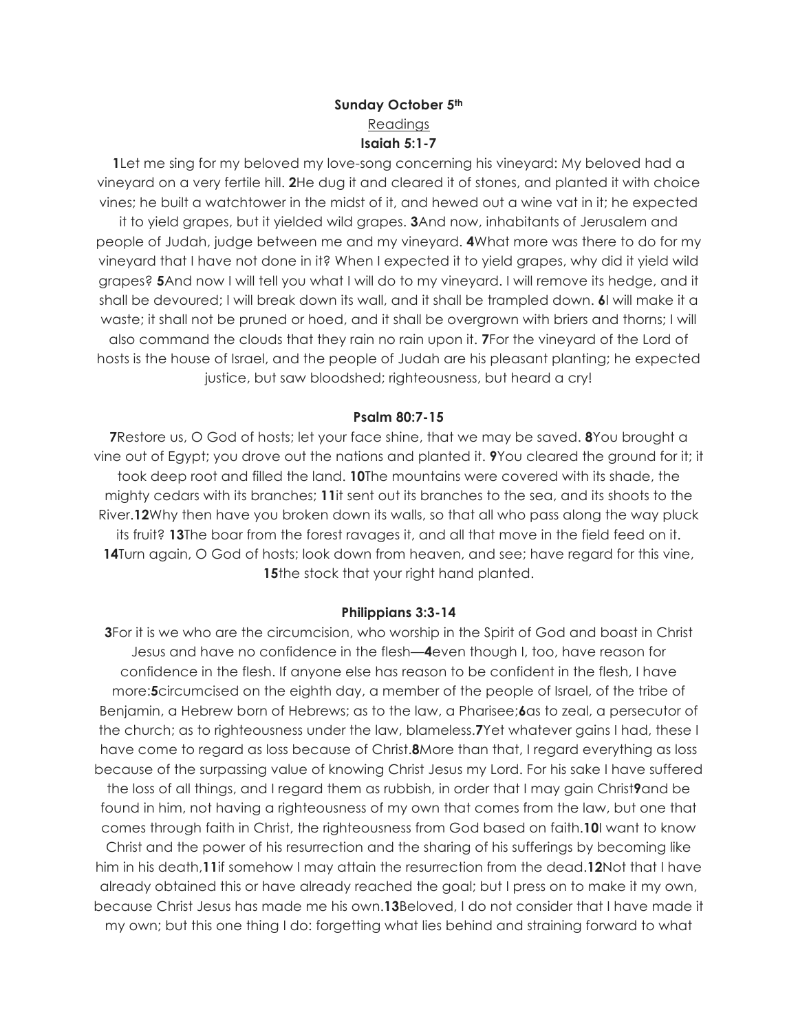## **Sunday October 5th** Readings **Isaiah 5:1-7**

**1**Let me sing for my beloved my love-song concerning his vineyard: My beloved had a vineyard on a very fertile hill. **2**He dug it and cleared it of stones, and planted it with choice vines; he built a watchtower in the midst of it, and hewed out a wine vat in it; he expected it to yield grapes, but it yielded wild grapes. **3**And now, inhabitants of Jerusalem and

people of Judah, judge between me and my vineyard. **4**What more was there to do for my vineyard that I have not done in it? When I expected it to yield grapes, why did it yield wild grapes? **5**And now I will tell you what I will do to my vineyard. I will remove its hedge, and it shall be devoured; I will break down its wall, and it shall be trampled down. **6**I will make it a waste; it shall not be pruned or hoed, and it shall be overgrown with briers and thorns; I will also command the clouds that they rain no rain upon it. **7**For the vineyard of the Lord of hosts is the house of Israel, and the people of Judah are his pleasant planting; he expected justice, but saw bloodshed; righteousness, but heard a cry!

### **Psalm 80:7-15**

**7**Restore us, O God of hosts; let your face shine, that we may be saved. **8**You brought a vine out of Egypt; you drove out the nations and planted it. **9**You cleared the ground for it; it took deep root and filled the land. **10**The mountains were covered with its shade, the mighty cedars with its branches; **11**it sent out its branches to the sea, and its shoots to the River.**12**Why then have you broken down its walls, so that all who pass along the way pluck its fruit? **13**The boar from the forest ravages it, and all that move in the field feed on it. **14**Turn again, O God of hosts; look down from heaven, and see; have regard for this vine, **15**the stock that your right hand planted.

#### **Philippians 3:3-14**

**3**For it is we who are the circumcision, who worship in the Spirit of God and boast in Christ Jesus and have no confidence in the flesh—**4**even though I, too, have reason for confidence in the flesh. If anyone else has reason to be confident in the flesh, I have more:**5**circumcised on the eighth day, a member of the people of Israel, of the tribe of Benjamin, a Hebrew born of Hebrews; as to the law, a Pharisee;**6**as to zeal, a persecutor of the church; as to righteousness under the law, blameless.**7**Yet whatever gains I had, these I have come to regard as loss because of Christ.**8**More than that, I regard everything as loss because of the surpassing value of knowing Christ Jesus my Lord. For his sake I have suffered the loss of all things, and I regard them as rubbish, in order that I may gain Christ**9**and be found in him, not having a righteousness of my own that comes from the law, but one that comes through faith in Christ, the righteousness from God based on faith.**10**I want to know Christ and the power of his resurrection and the sharing of his sufferings by becoming like him in his death,**11**if somehow I may attain the resurrection from the dead.**12**Not that I have already obtained this or have already reached the goal; but I press on to make it my own, because Christ Jesus has made me his own.**13**Beloved, I do not consider that I have made it my own; but this one thing I do: forgetting what lies behind and straining forward to what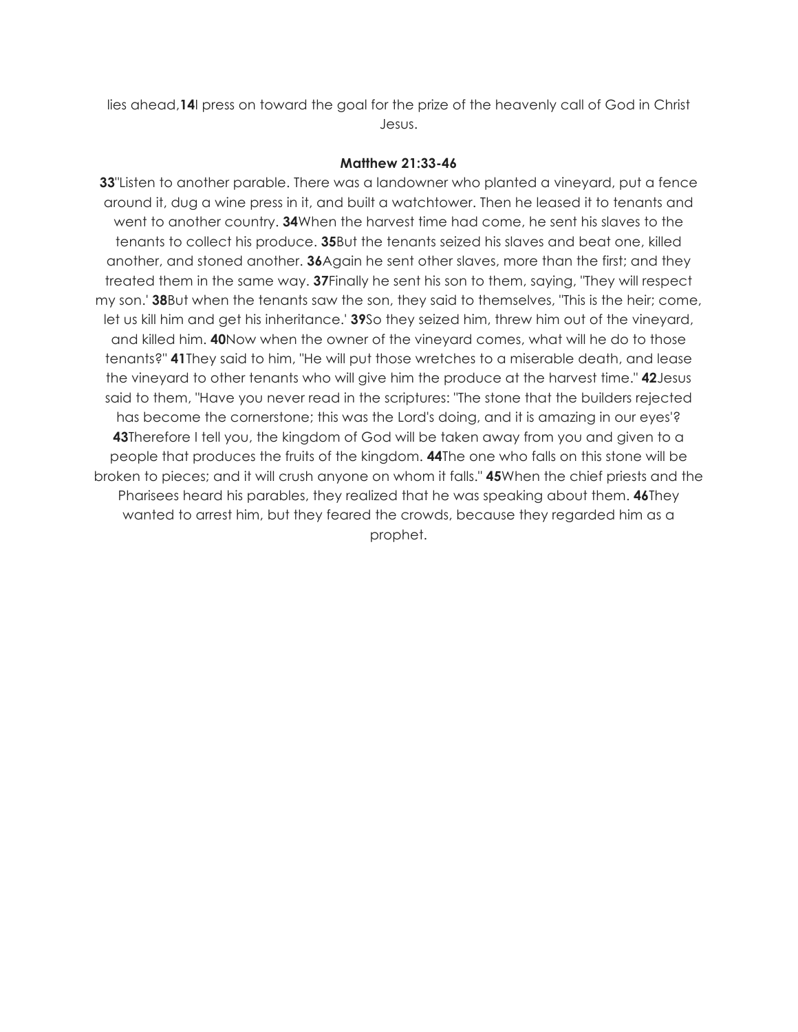lies ahead,**14**I press on toward the goal for the prize of the heavenly call of God in Christ Jesus.

#### **Matthew 21:33-46**

**33**"Listen to another parable. There was a landowner who planted a vineyard, put a fence around it, dug a wine press in it, and built a watchtower. Then he leased it to tenants and went to another country. **34**When the harvest time had come, he sent his slaves to the tenants to collect his produce. **35**But the tenants seized his slaves and beat one, killed another, and stoned another. **36**Again he sent other slaves, more than the first; and they treated them in the same way. **37**Finally he sent his son to them, saying, "They will respect my son.' **38**But when the tenants saw the son, they said to themselves, "This is the heir; come, let us kill him and get his inheritance.' **39**So they seized him, threw him out of the vineyard, and killed him. **40**Now when the owner of the vineyard comes, what will he do to those tenants?" **41**They said to him, "He will put those wretches to a miserable death, and lease the vineyard to other tenants who will give him the produce at the harvest time." **42**Jesus said to them, "Have you never read in the scriptures: "The stone that the builders rejected has become the cornerstone; this was the Lord's doing, and it is amazing in our eyes'? **43**Therefore I tell you, the kingdom of God will be taken away from you and given to a people that produces the fruits of the kingdom. **44**The one who falls on this stone will be broken to pieces; and it will crush anyone on whom it falls." **45**When the chief priests and the Pharisees heard his parables, they realized that he was speaking about them. **46**They wanted to arrest him, but they feared the crowds, because they regarded him as a prophet.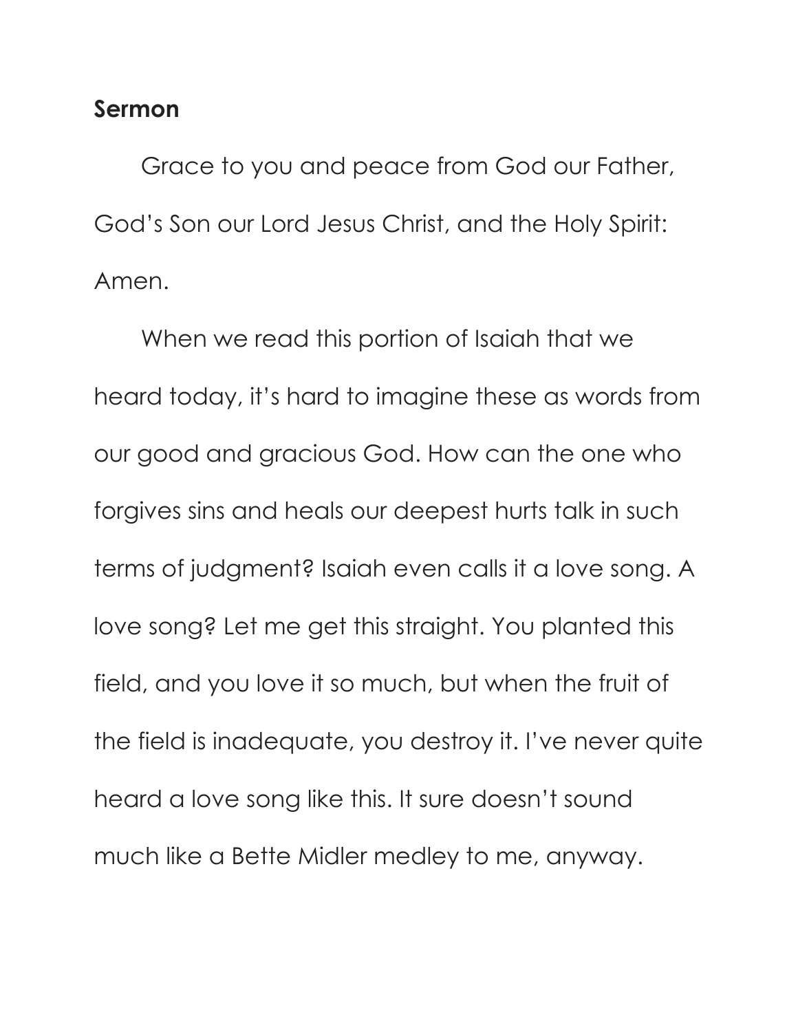# **Sermon**

Grace to you and peace from God our Father, God's Son our Lord Jesus Christ, and the Holy Spirit: Amen.

When we read this portion of Isaiah that we heard today, it's hard to imagine these as words from our good and gracious God. How can the one who forgives sins and heals our deepest hurts talk in such terms of judgment? Isaiah even calls it a love song. A love song? Let me get this straight. You planted this field, and you love it so much, but when the fruit of the field is inadequate, you destroy it. I've never quite heard a love song like this. It sure doesn't sound much like a Bette Midler medley to me, anyway.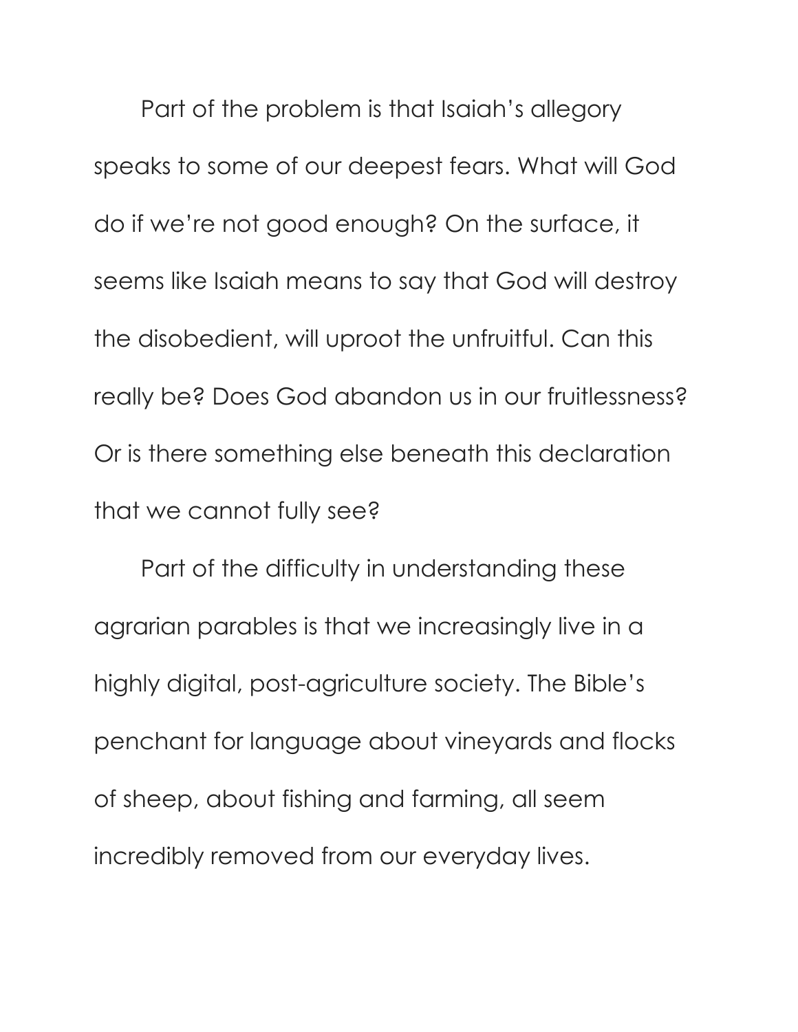Part of the problem is that Isaiah's allegory speaks to some of our deepest fears. What will God do if we're not good enough? On the surface, it seems like Isaiah means to say that God will destroy the disobedient, will uproot the unfruitful. Can this really be? Does God abandon us in our fruitlessness? Or is there something else beneath this declaration that we cannot fully see?

Part of the difficulty in understanding these agrarian parables is that we increasingly live in a highly digital, post-agriculture society. The Bible's penchant for language about vineyards and flocks of sheep, about fishing and farming, all seem incredibly removed from our everyday lives.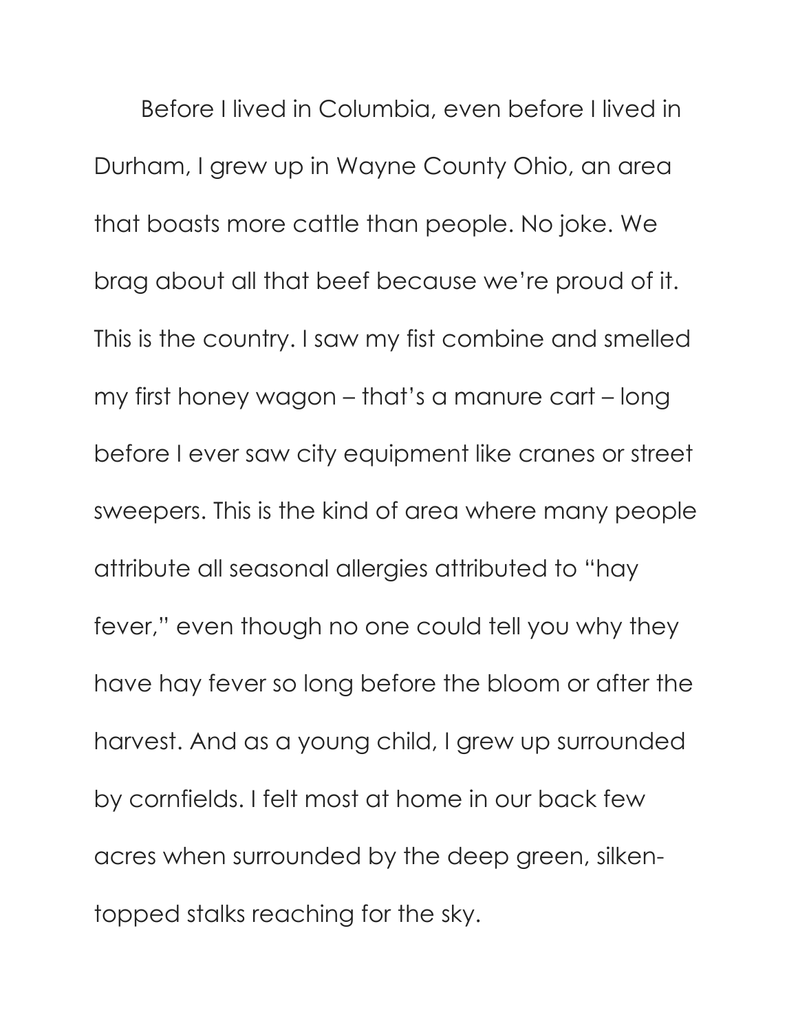Before I lived in Columbia, even before I lived in Durham, I grew up in Wayne County Ohio, an area that boasts more cattle than people. No joke. We brag about all that beef because we're proud of it. This is the country. I saw my fist combine and smelled my first honey wagon – that's a manure cart – long before I ever saw city equipment like cranes or street sweepers. This is the kind of area where many people attribute all seasonal allergies attributed to "hay fever," even though no one could tell you why they have hay fever so long before the bloom or after the harvest. And as a young child, I grew up surrounded by cornfields. I felt most at home in our back few acres when surrounded by the deep green, silkentopped stalks reaching for the sky.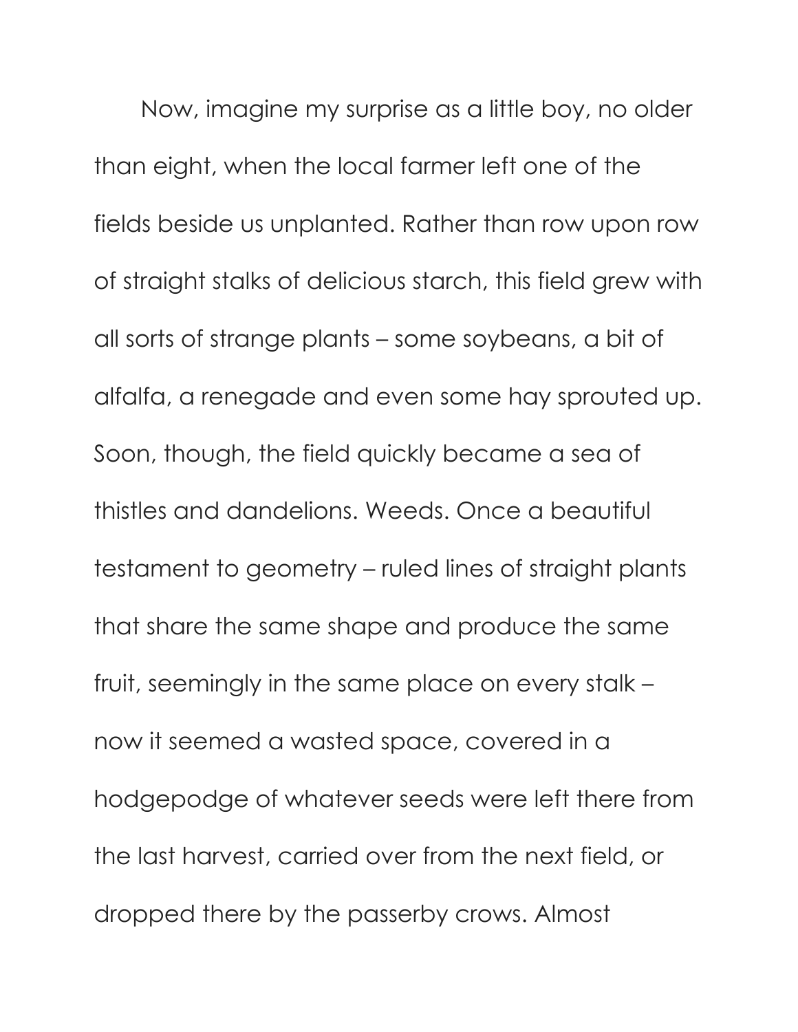Now, imagine my surprise as a little boy, no older than eight, when the local farmer left one of the fields beside us unplanted. Rather than row upon row of straight stalks of delicious starch, this field grew with all sorts of strange plants – some soybeans, a bit of alfalfa, a renegade and even some hay sprouted up. Soon, though, the field quickly became a sea of thistles and dandelions. Weeds. Once a beautiful testament to geometry – ruled lines of straight plants that share the same shape and produce the same fruit, seemingly in the same place on every stalk – now it seemed a wasted space, covered in a hodgepodge of whatever seeds were left there from the last harvest, carried over from the next field, or dropped there by the passerby crows. Almost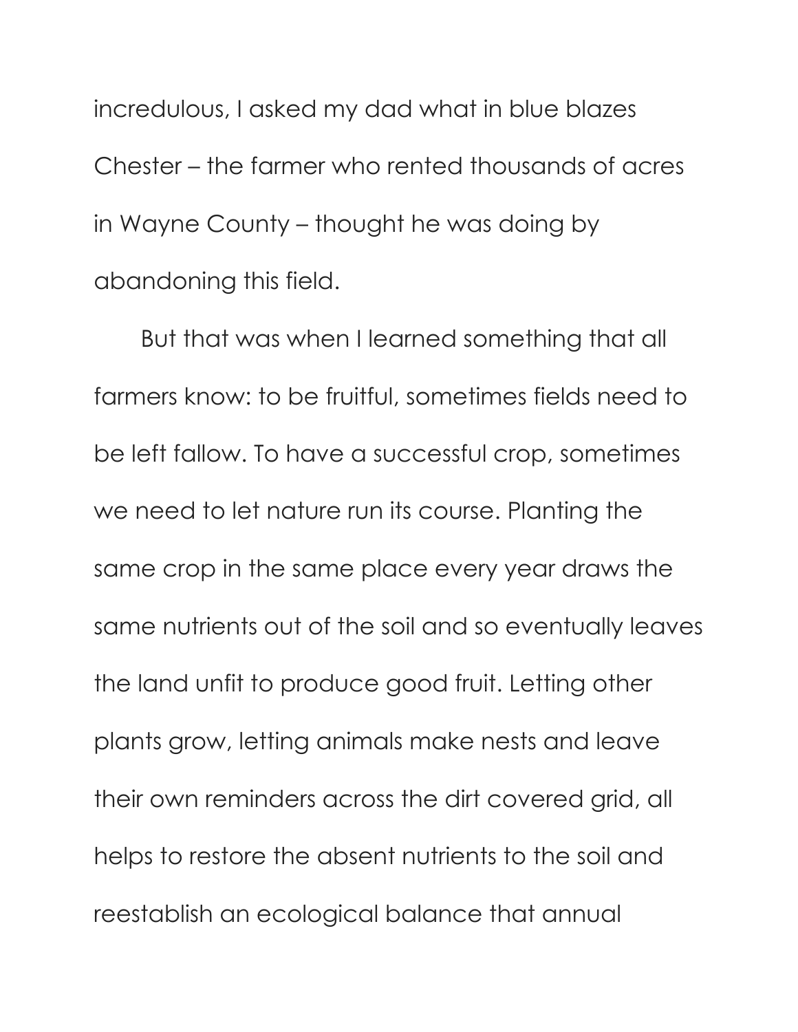incredulous, I asked my dad what in blue blazes Chester – the farmer who rented thousands of acres in Wayne County – thought he was doing by abandoning this field.

But that was when I learned something that all farmers know: to be fruitful, sometimes fields need to be left fallow. To have a successful crop, sometimes we need to let nature run its course. Planting the same crop in the same place every year draws the same nutrients out of the soil and so eventually leaves the land unfit to produce good fruit. Letting other plants grow, letting animals make nests and leave their own reminders across the dirt covered grid, all helps to restore the absent nutrients to the soil and reestablish an ecological balance that annual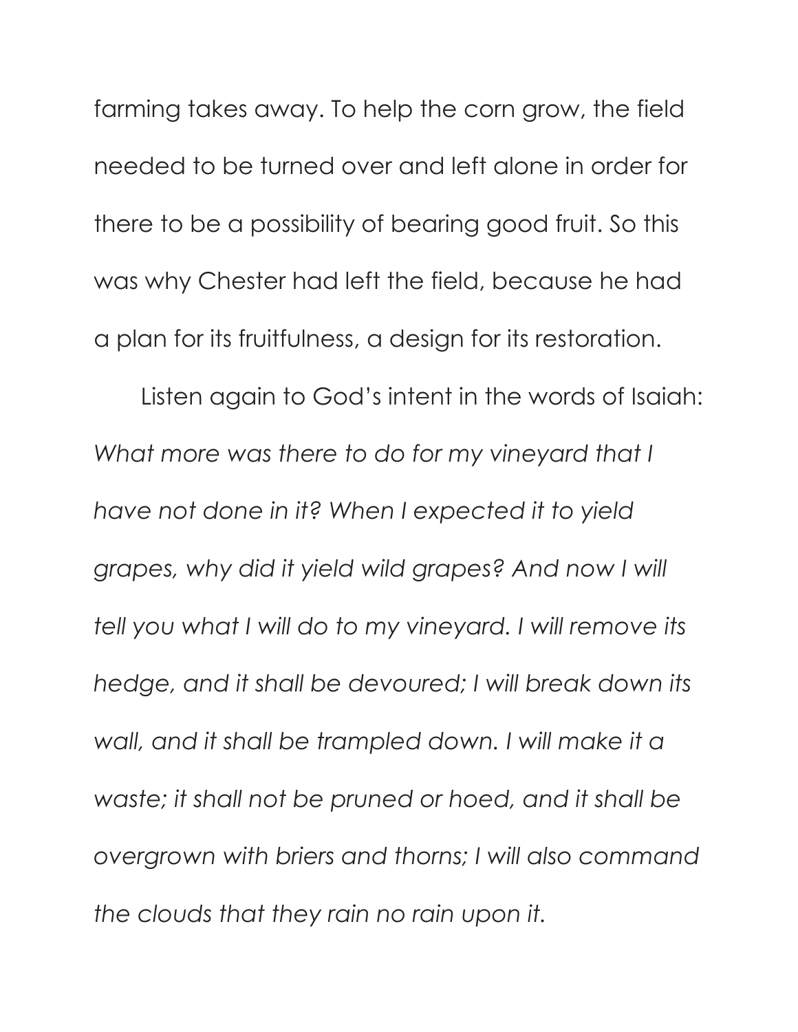farming takes away. To help the corn grow, the field needed to be turned over and left alone in order for there to be a possibility of bearing good fruit. So this was why Chester had left the field, because he had a plan for its fruitfulness, a design for its restoration.

Listen again to God's intent in the words of Isaiah: *What more was there to do for my vineyard that I have not done in it? When I expected it to yield grapes, why did it yield wild grapes? And now I will tell you what I will do to my vineyard. I will remove its hedge, and it shall be devoured; I will break down its wall, and it shall be trampled down. I will make it a waste; it shall not be pruned or hoed, and it shall be overgrown with briers and thorns; I will also command the clouds that they rain no rain upon it.*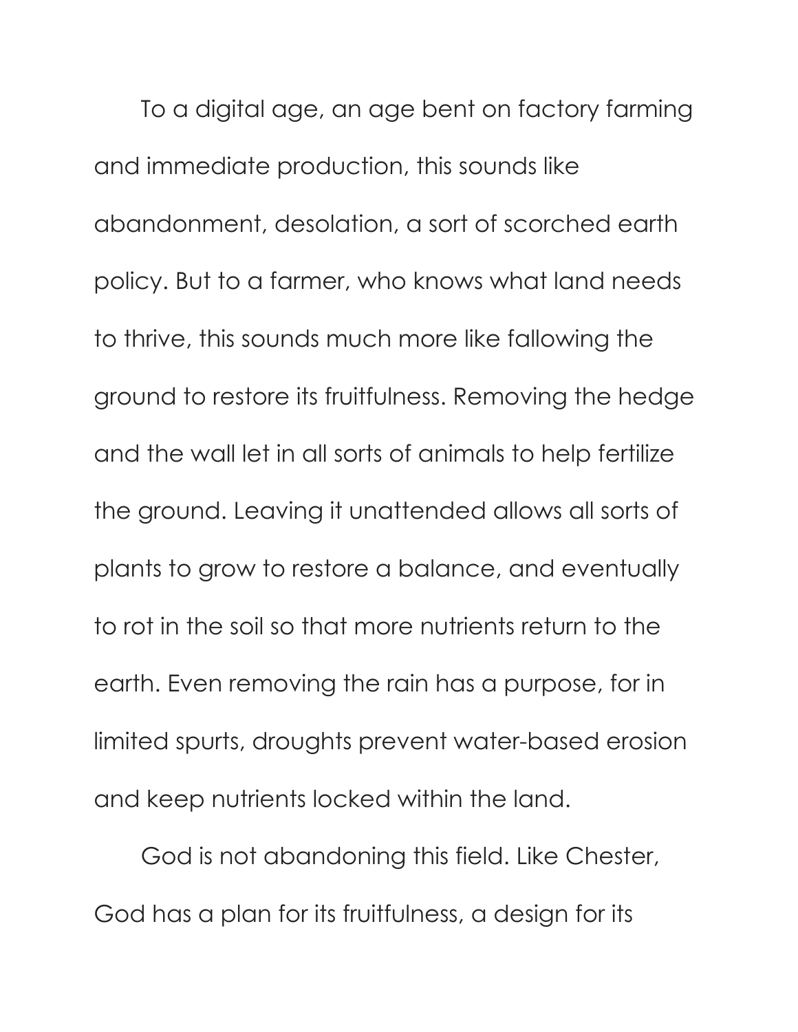To a digital age, an age bent on factory farming and immediate production, this sounds like abandonment, desolation, a sort of scorched earth policy. But to a farmer, who knows what land needs to thrive, this sounds much more like fallowing the ground to restore its fruitfulness. Removing the hedge and the wall let in all sorts of animals to help fertilize the ground. Leaving it unattended allows all sorts of plants to grow to restore a balance, and eventually to rot in the soil so that more nutrients return to the earth. Even removing the rain has a purpose, for in limited spurts, droughts prevent water-based erosion and keep nutrients locked within the land.

God is not abandoning this field. Like Chester, God has a plan for its fruitfulness, a design for its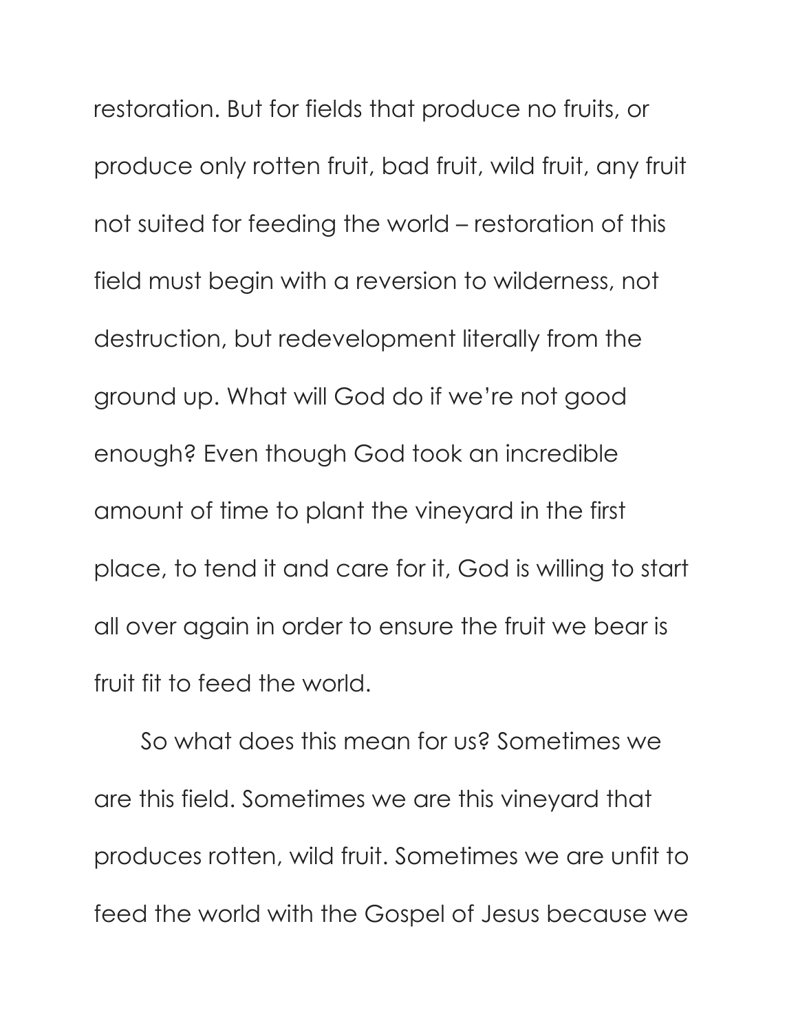restoration. But for fields that produce no fruits, or produce only rotten fruit, bad fruit, wild fruit, any fruit not suited for feeding the world – restoration of this field must begin with a reversion to wilderness, not destruction, but redevelopment literally from the ground up. What will God do if we're not good enough? Even though God took an incredible amount of time to plant the vineyard in the first place, to tend it and care for it, God is willing to start all over again in order to ensure the fruit we bear is fruit fit to feed the world.

So what does this mean for us? Sometimes we are this field. Sometimes we are this vineyard that produces rotten, wild fruit. Sometimes we are unfit to feed the world with the Gospel of Jesus because we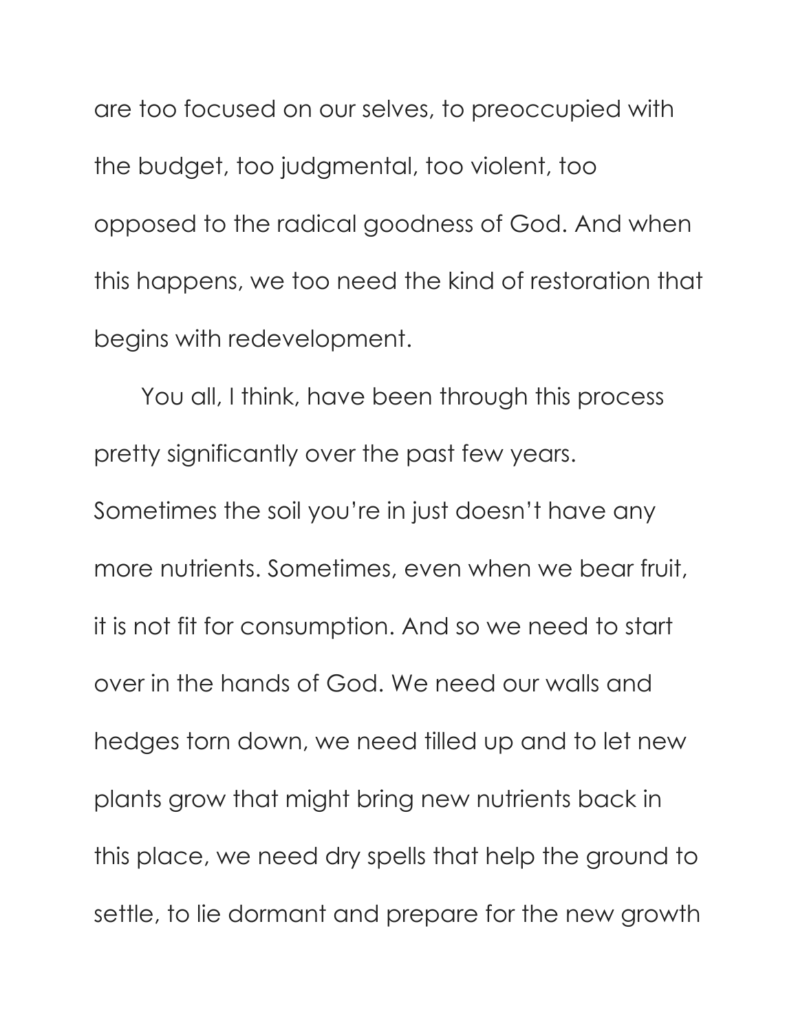are too focused on our selves, to preoccupied with the budget, too judgmental, too violent, too opposed to the radical goodness of God. And when this happens, we too need the kind of restoration that begins with redevelopment.

You all, I think, have been through this process pretty significantly over the past few years. Sometimes the soil you're in just doesn't have any more nutrients. Sometimes, even when we bear fruit, it is not fit for consumption. And so we need to start over in the hands of God. We need our walls and hedges torn down, we need tilled up and to let new plants grow that might bring new nutrients back in this place, we need dry spells that help the ground to settle, to lie dormant and prepare for the new growth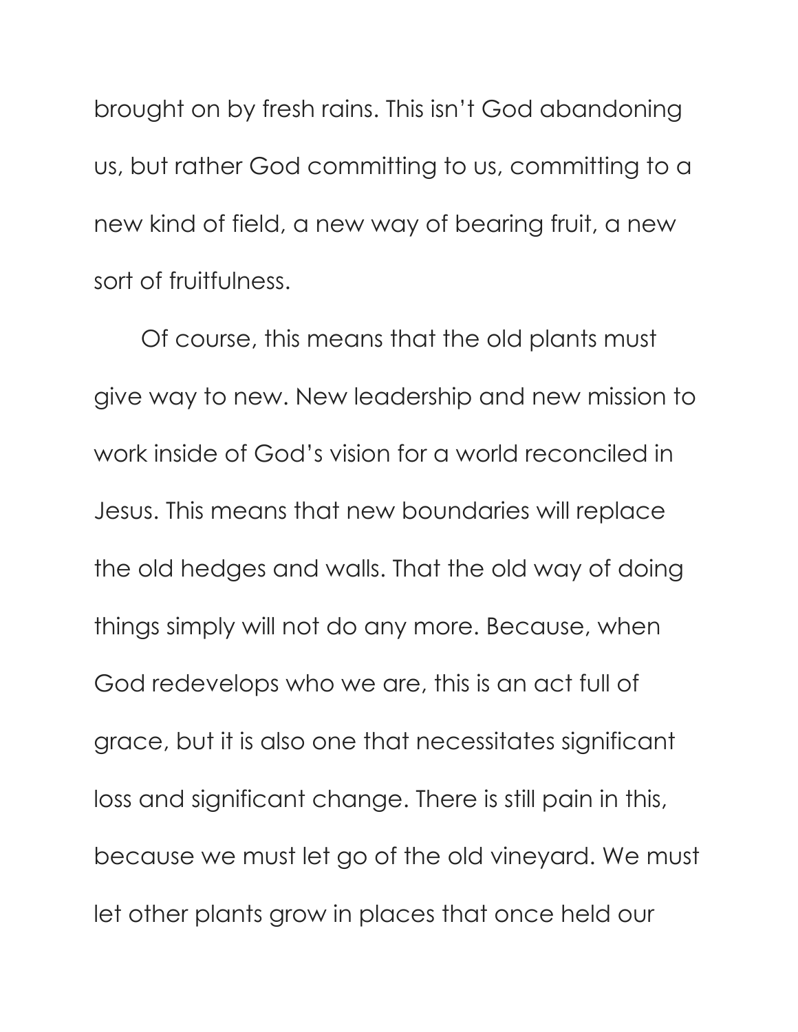brought on by fresh rains. This isn't God abandoning us, but rather God committing to us, committing to a new kind of field, a new way of bearing fruit, a new sort of fruitfulness.

Of course, this means that the old plants must give way to new. New leadership and new mission to work inside of God's vision for a world reconciled in Jesus. This means that new boundaries will replace the old hedges and walls. That the old way of doing things simply will not do any more. Because, when God redevelops who we are, this is an act full of grace, but it is also one that necessitates significant loss and significant change. There is still pain in this, because we must let go of the old vineyard. We must let other plants grow in places that once held our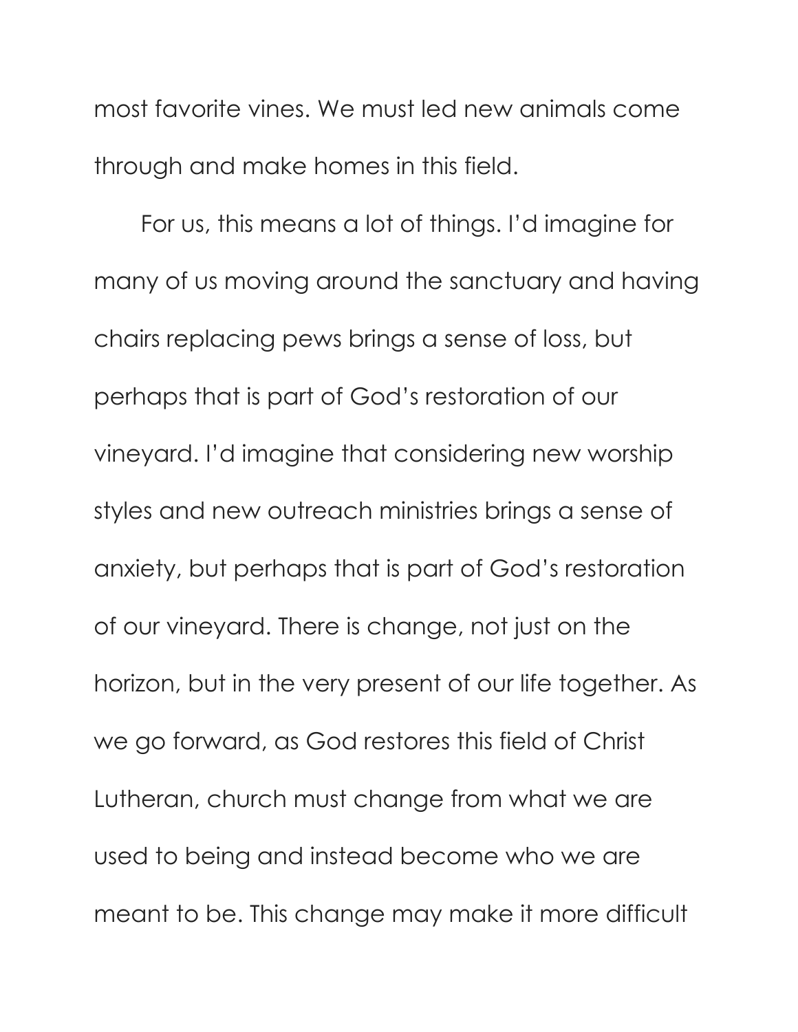most favorite vines. We must led new animals come through and make homes in this field.

For us, this means a lot of things. I'd imagine for many of us moving around the sanctuary and having chairs replacing pews brings a sense of loss, but perhaps that is part of God's restoration of our vineyard. I'd imagine that considering new worship styles and new outreach ministries brings a sense of anxiety, but perhaps that is part of God's restoration of our vineyard. There is change, not just on the horizon, but in the very present of our life together. As we go forward, as God restores this field of Christ Lutheran, church must change from what we are used to being and instead become who we are meant to be. This change may make it more difficult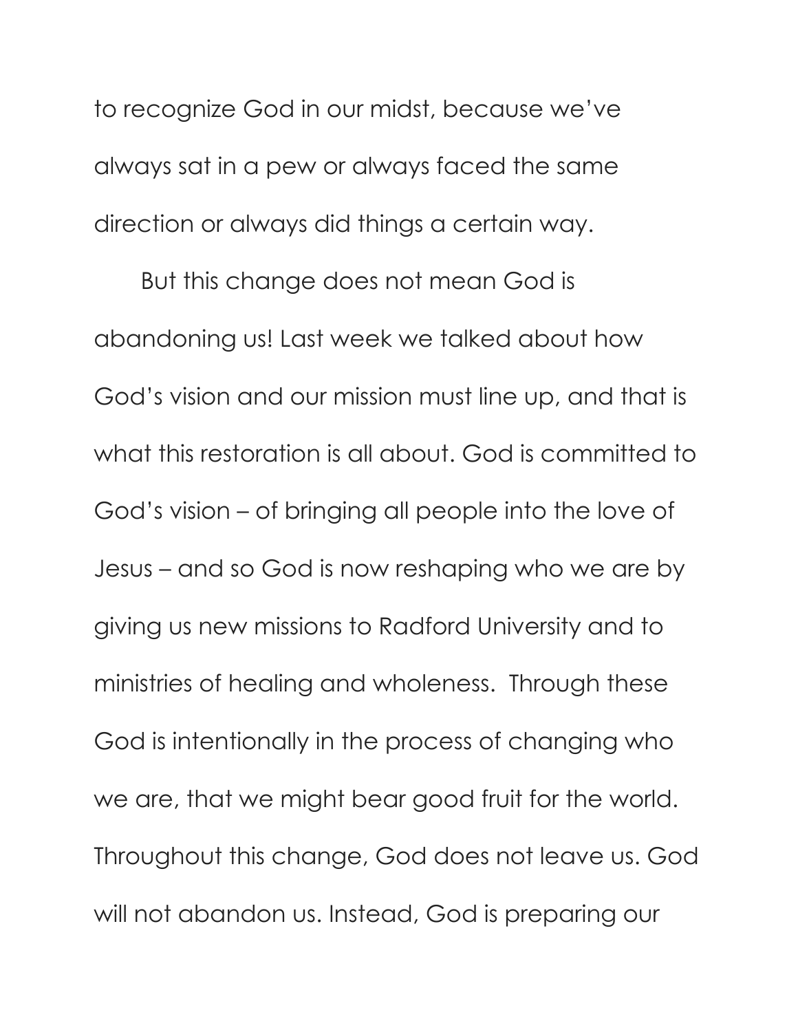to recognize God in our midst, because we've always sat in a pew or always faced the same direction or always did things a certain way.

But this change does not mean God is abandoning us! Last week we talked about how God's vision and our mission must line up, and that is what this restoration is all about. God is committed to God's vision – of bringing all people into the love of Jesus – and so God is now reshaping who we are by giving us new missions to Radford University and to ministries of healing and wholeness. Through these God is intentionally in the process of changing who we are, that we might bear good fruit for the world. Throughout this change, God does not leave us. God will not abandon us. Instead, God is preparing our